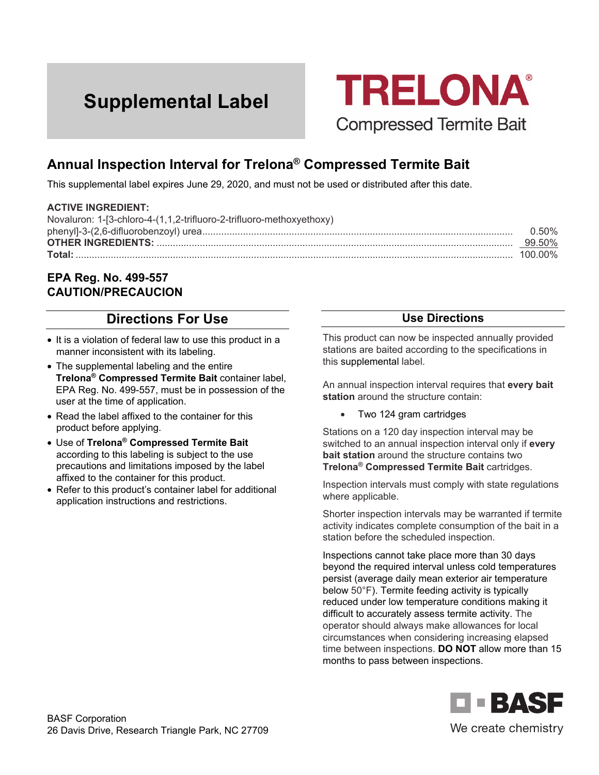# **Supplemental Label**



## **Annual Inspection Interval for Trelona® Compressed Termite Bait**

This supplemental label expires June 29, 2020, and must not be used or distributed after this date.

#### **ACTIVE INGREDIENT:**

| Novaluron: 1-[3-chloro-4-(1,1,2-trifluoro-2-trifluoro-methoxyethoxy) |               |
|----------------------------------------------------------------------|---------------|
|                                                                      | <u>በ 50% </u> |
|                                                                      | 99.50%        |
|                                                                      |               |

#### **EPA Reg. No. 499-557 CAUTION/PRECAUCION**

### **Directions For Use**

- It is a violation of federal law to use this product in a manner inconsistent with its labeling.
- The supplemental labeling and the entire **Trelona® Compressed Termite Bait** container label, EPA Reg. No. 499-557, must be in possession of the user at the time of application.
- Read the label affixed to the container for this product before applying.
- Use of **Trelona® Compressed Termite Bait** according to this labeling is subject to the use precautions and limitations imposed by the label affixed to the container for this product.
- Refer to this product's container label for additional application instructions and restrictions.

#### **Use Directions**

This product can now be inspected annually provided stations are baited according to the specifications in this supplemental label.

An annual inspection interval requires that **every bait station** around the structure contain:

• Two 124 gram cartridges

Stations on a 120 day inspection interval may be switched to an annual inspection interval only if **every bait station** around the structure contains two **Trelona® Compressed Termite Bait** cartridges.

Inspection intervals must comply with state regulations where applicable.

Shorter inspection intervals may be warranted if termite activity indicates complete consumption of the bait in a station before the scheduled inspection.

Inspections cannot take place more than 30 days beyond the required interval unless cold temperatures persist (average daily mean exterior air temperature below 50°F). Termite feeding activity is typically reduced under low temperature conditions making it difficult to accurately assess termite activity. The operator should always make allowances for local circumstances when considering increasing elapsed time between inspections. **DO NOT** allow more than 15 months to pass between inspections.



We create chemistry